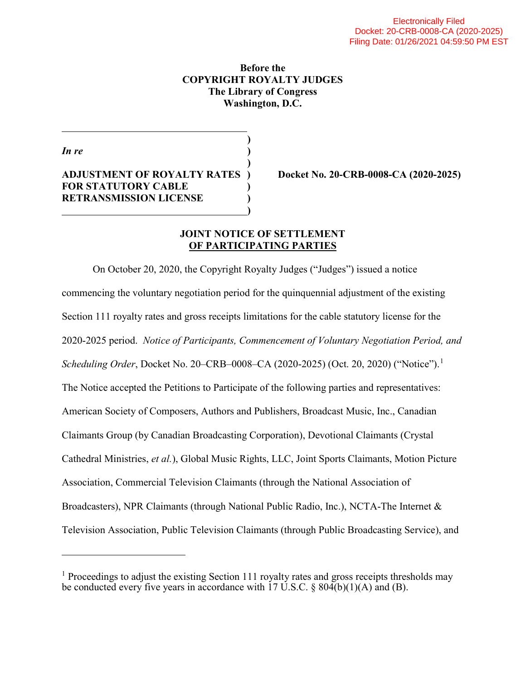# Before the COPYRIGHT ROYALTY JUDGES The Library of Congress Washington, D.C.

In re  $($ 

 $\overline{a}$ 

 $\overline{a}$ 

 $\mathbf{)}$ ADJUSTMENT OF ROYALTY RATES ) Docket No. 20-CRB-0008-CA (2020-2025) FOR STATUTORY CABLE RETRANSMISSION LICENSE  $\mathbf{)}$ 

 $\overline{\phantom{a}}$ 

# JOINT NOTICE OF SETTLEMENT OF PARTICIPATING PARTIES

On October 20, 2020, the Copyright Royalty Judges ("Judges") issued a notice commencing the voluntary negotiation period for the quinquennial adjustment of the existing Section 111 royalty rates and gross receipts limitations for the cable statutory license for the 2020-2025 period. Notice of Participants, Commencement of Voluntary Negotiation Period, and Scheduling Order, Docket No. 20–CRB–0008–CA (2020-2025) (Oct. 20, 2020) ("Notice").<sup>1</sup> The Notice accepted the Petitions to Participate of the following parties and representatives: American Society of Composers, Authors and Publishers, Broadcast Music, Inc., Canadian Claimants Group (by Canadian Broadcasting Corporation), Devotional Claimants (Crystal Cathedral Ministries, et al.), Global Music Rights, LLC, Joint Sports Claimants, Motion Picture Association, Commercial Television Claimants (through the National Association of Broadcasters), NPR Claimants (through National Public Radio, Inc.), NCTA-The Internet & Television Association, Public Television Claimants (through Public Broadcasting Service), and

<sup>&</sup>lt;sup>1</sup> Proceedings to adjust the existing Section 111 royalty rates and gross receipts thresholds may be conducted every five years in accordance with 17 U.S.C.  $\S$  804(b)(1)(A) and (B).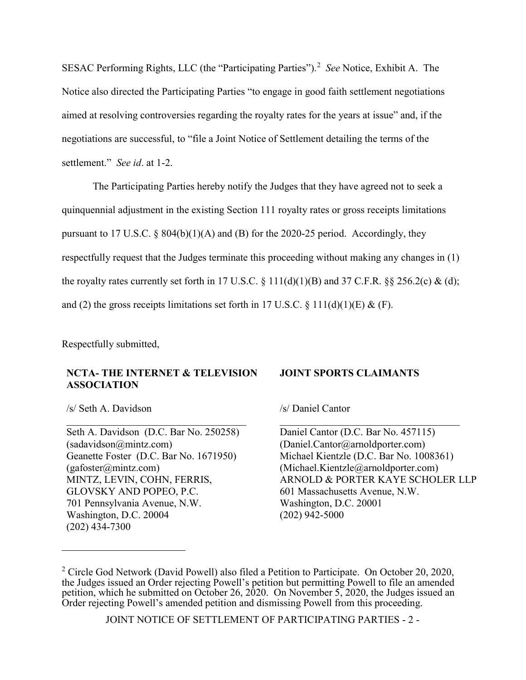SESAC Performing Rights, LLC (the "Participating Parties").<sup>2</sup> See Notice, Exhibit A. The Notice also directed the Participating Parties "to engage in good faith settlement negotiations aimed at resolving controversies regarding the royalty rates for the years at issue" and, if the negotiations are successful, to "file a Joint Notice of Settlement detailing the terms of the settlement." *See id.* at 1-2.

The Participating Parties hereby notify the Judges that they have agreed not to seek a quinquennial adjustment in the existing Section 111 royalty rates or gross receipts limitations pursuant to 17 U.S.C.  $\S$  804(b)(1)(A) and (B) for the 2020-25 period. Accordingly, they respectfully request that the Judges terminate this proceeding without making any changes in (1) the royalty rates currently set forth in 17 U.S.C.  $\S$  111(d)(1)(B) and 37 C.F.R.  $\S$  $\S$  256.2(c) & (d); and (2) the gross receipts limitations set forth in 17 U.S.C.  $\S 111(d)(1)(E) \& (F)$ .

Respectfully submitted,

# NCTA- THE INTERNET & TELEVISION ASSOCIATION

#### JOINT SPORTS CLAIMANTS

/s/ Seth A. Davidson

 $\overline{a}$ 

Seth A. Davidson (D.C. Bar No. 250258) (sadavidson@mintz.com) Geanette Foster (D.C. Bar No. 1671950) (gafoster@mintz.com) MINTZ, LEVIN, COHN, FERRIS, GLOVSKY AND POPEO, P.C. 701 Pennsylvania Avenue, N.W. Washington, D.C. 20004 (202) 434-7300

/s/ Daniel Cantor

Daniel Cantor (D.C. Bar No. 457115) (Daniel.Cantor@arnoldporter.com) Michael Kientzle (D.C. Bar No. 1008361) (Michael.Kientzle@arnoldporter.com) ARNOLD & PORTER KAYE SCHOLER LLP 601 Massachusetts Avenue, N.W. Washington, D.C. 20001 (202) 942-5000

JOINT NOTICE OF SETTLEMENT OF PARTICIPATING PARTIES - 2 -

<sup>&</sup>lt;sup>2</sup> Circle God Network (David Powell) also filed a Petition to Participate. On October 20, 2020, the Judges issued an Order rejecting Powell's petition but permitting Powell to file an amended petition, which he submitted on October 26, 2020. On November 5, 2020, the Judges issued an Order rejecting Powell's amended petition and dismissing Powell from this proceeding.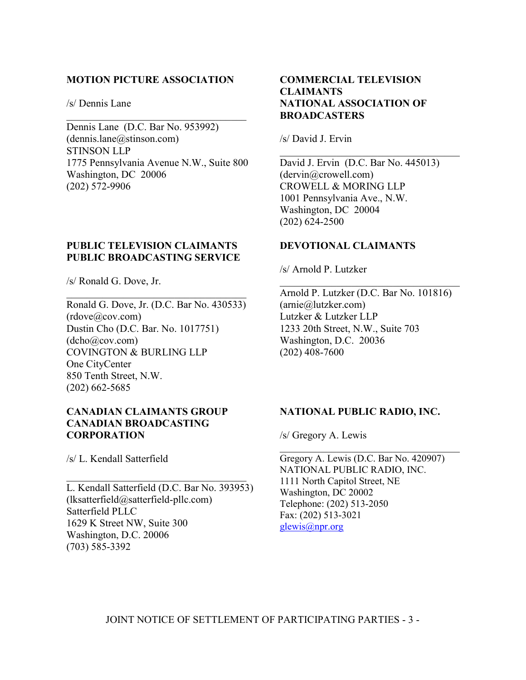#### MOTION PICTURE ASSOCIATION

/s/ Dennis Lane

Dennis Lane (D.C. Bar No. 953992)  $(dennis.lane@stinson.com)$ STINSON LLP 1775 Pennsylvania Avenue N.W., Suite 800 Washington, DC 20006 (202) 572-9906

# PUBLIC TELEVISION CLAIMANTS PUBLIC BROADCASTING SERVICE

/s/ Ronald G. Dove, Jr.

Ronald G. Dove, Jr. (D.C. Bar No. 430533)  $(rdove@cov.com)$ Dustin Cho (D.C. Bar. No. 1017751) (dcho@cov.com) COVINGTON & BURLING LLP One CityCenter 850 Tenth Street, N.W. (202) 662-5685

## CANADIAN CLAIMANTS GROUP CANADIAN BROADCASTING CORPORATION

/s/ L. Kendall Satterfield

L. Kendall Satterfield (D.C. Bar No. 393953) (lksatterfield@satterfield-pllc.com) Satterfield PLLC 1629 K Street NW, Suite 300 Washington, D.C. 20006 (703) 585-3392

# COMMERCIAL TELEVISION CLAIMANTS NATIONAL ASSOCIATION OF **BROADCASTERS**

/s/ David J. Ervin

David J. Ervin (D.C. Bar No. 445013) (dervin@crowell.com) CROWELL & MORING LLP 1001 Pennsylvania Ave., N.W. Washington, DC 20004 (202) 624-2500

## DEVOTIONAL CLAIMANTS

/s/ Arnold P. Lutzker

Arnold P. Lutzker (D.C. Bar No. 101816) (arnie@lutzker.com) Lutzker & Lutzker LLP 1233 20th Street, N.W., Suite 703 Washington, D.C. 20036 (202) 408-7600

# NATIONAL PUBLIC RADIO, INC.

/s/ Gregory A. Lewis

Gregory A. Lewis (D.C. Bar No. 420907) NATIONAL PUBLIC RADIO, INC. 1111 North Capitol Street, NE Washington, DC 20002 Telephone: (202) 513-2050 Fax: (202) 513-3021 glewis@npr.org

JOINT NOTICE OF SETTLEMENT OF PARTICIPATING PARTIES - 3 -